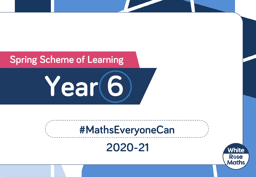## **Spring Scheme of Learning**

**Year 6**

# **#MathsEveryoneCan**

**2020-21**

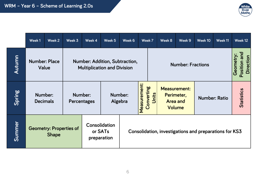

|        | Week 1                                         | Week 2 | Week 3                            | Week 4                                                                      | Week 5                                                 | Week 6       |                                                                                       | Week 7 | Week 8                                | Week 9               | Week 10 | Week 11 | Week 12           |                           |
|--------|------------------------------------------------|--------|-----------------------------------|-----------------------------------------------------------------------------|--------------------------------------------------------|--------------|---------------------------------------------------------------------------------------|--------|---------------------------------------|----------------------|---------|---------|-------------------|---------------------------|
| Autumn | <b>Number: Place</b><br>Value                  |        |                                   | <b>Number: Addition, Subtraction,</b><br><b>Multiplication and Division</b> |                                                        |              |                                                                                       |        | Geometry:<br><b>Number: Fractions</b> |                      |         |         |                   | Position and<br>Direction |
| Spring | Number:<br><b>Decimals</b>                     |        | Number:<br>Algebra<br>Percentages |                                                                             | Number:                                                | Measurement: | Converting<br><b>Measurement:</b><br>Units<br>Perimeter,<br><b>Area and</b><br>Volume |        |                                       | <b>Number: Ratio</b> |         |         | <b>Statistics</b> |                           |
| Summer | <b>Geometry: Properties of</b><br><b>Shape</b> |        |                                   | Consolidation<br>or SATs<br>preparation                                     | Consolidation, investigations and preparations for KS3 |              |                                                                                       |        |                                       |                      |         |         |                   |                           |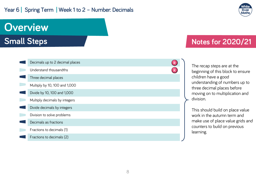#### Year 6 | Spring Term | Week 1 to 2 - Number: Decimals



# **Overview**

**Small Steps**

| Decimals up to 2 decimal places | $\overline{\mathsf{R}}$ |  |
|---------------------------------|-------------------------|--|
| Understand thousandths          | R                       |  |
| Three decimal places            |                         |  |
| Multiply by 10, 100 and 1,000   |                         |  |
| Divide by 10, 100 and 1,000     |                         |  |
| Multiply decimals by integers   |                         |  |
| Divide decimals by integers     |                         |  |
| Division to solve problems      |                         |  |
| Decimals as fractions           |                         |  |
| Fractions to decimals (1)       |                         |  |
| Fractions to decimals (2)       |                         |  |

### **Notes for 2020/21**

The recap steps are at the beginning of this block to ensure children have a good understanding of numbers up to three decimal places before moving on to multiplication and division.

This should build on place value work in the autumn term and make use of place value grids and counters to build on previous learning.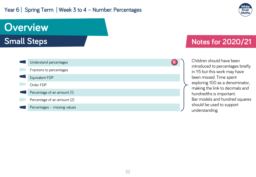#### Year 6 | Spring Term | Week 3 to 4 - Number: Percentages



# **Overview**

**Small Steps**

| Understand percentages       |  |
|------------------------------|--|
| Fractions to percentages     |  |
| Equivalent FDP               |  |
| Order FDP                    |  |
| Percentage of an amount (1)  |  |
| Percentage of an amount (2)  |  |
| Percentages - missing values |  |

### **Notes for 2020/21**

Children should have been introduced to percentages briefly in Y5 but this work may have been missed. Time spent exploring 100 as a denominator, making the link to decimals and hundredths is important. Bar models and hundred squares should be used to support understanding.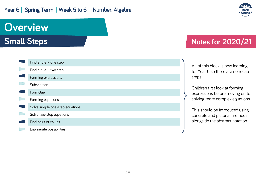#### Year 6 | Spring Term | Week 5 to 6 - Number: Algebra



## **Overview**

**Small Steps**

### **Notes for 2020/21**

| All of this block is new learning |
|-----------------------------------|
| for Year 6 so there are no recap  |
| steps.                            |

Children first look at forming expressions before moving on to solving more complex equations.

This should be introduced using concrete and pictorial methods alongside the abstract notation.

| Find a rule - one step          |
|---------------------------------|
| Find a rule - two step          |
| Forming expressions             |
| Substitution                    |
| Formulae                        |
| Forming equations               |
| Solve simple one-step equations |
| Solve two-step equations        |
| Find pairs of values            |
| Enumerate possibilities         |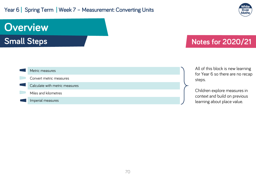#### Year 6 | Spring Term | Week 7 - Measurement: Converting Units



# **Overview**

**Small Steps**

### **Notes for 2020/21**



All of this block is new learning for Year 6 so there are no recap steps.

Children explore measures in context and build on previous learning about place value.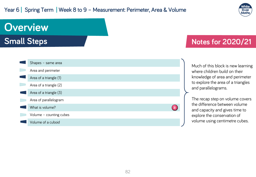#### Year 6 | Spring Term | Week 8 to 9 - Measurement: Perimeter, Area & Volume



## **Overview**

**Small Steps**

### **Notes for 2020/21**



Much of this block is new learning where children build on their knowledge of area and perimeter to explore the area of a triangles and parallelograms.

The recap step on volume covers the difference between volume and capacity and gives time to explore the conservation of volume using centimetre cubes.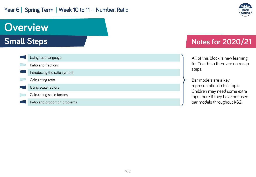#### Year 6 | Spring Term | Week 10 to 11 - Number: Ratio



## **Overview**

**Small Steps**

| Using ratio language          |
|-------------------------------|
| Ratio and fractions           |
| Introducing the ratio symbol  |
| Calculating ratio             |
| Using scale factors           |
| Calculating scale factors     |
| Ratio and proportion problems |

### **Notes for 2020/21**

All of this block is new learning for Year 6 so there are no recap steps.

Bar models are a key representation in this topic. Children may need some extra input here if they have not used bar models throughout KS2.